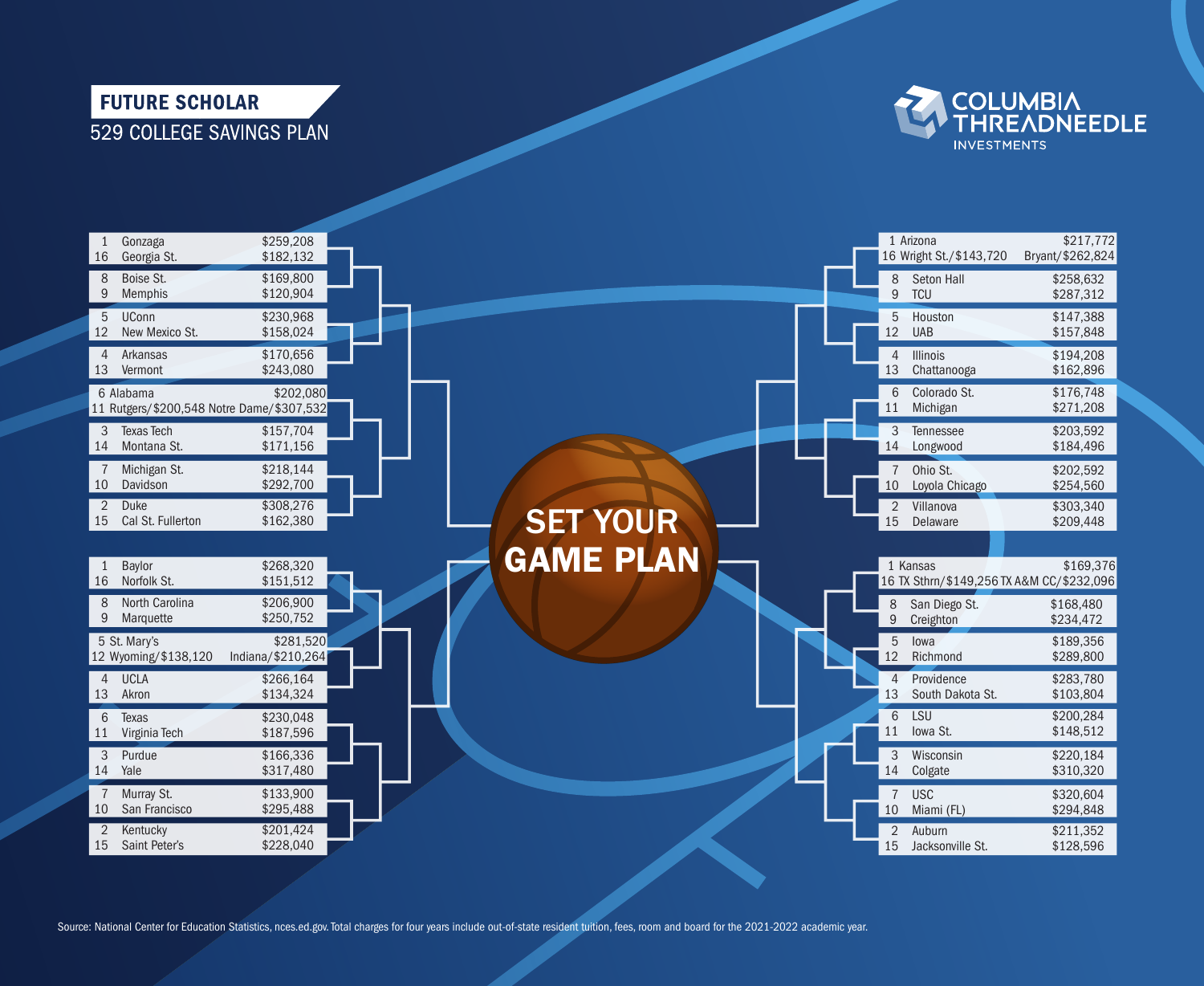## **FUTURE SCHOLAR** 529 COLLEGE SAVINGS PLAN





Source: National Center for Education Statistics, nces.ed.gov. Total charges for four years include out-of-state resident tuition, fees, room and board for the 2021-2022 academic year.